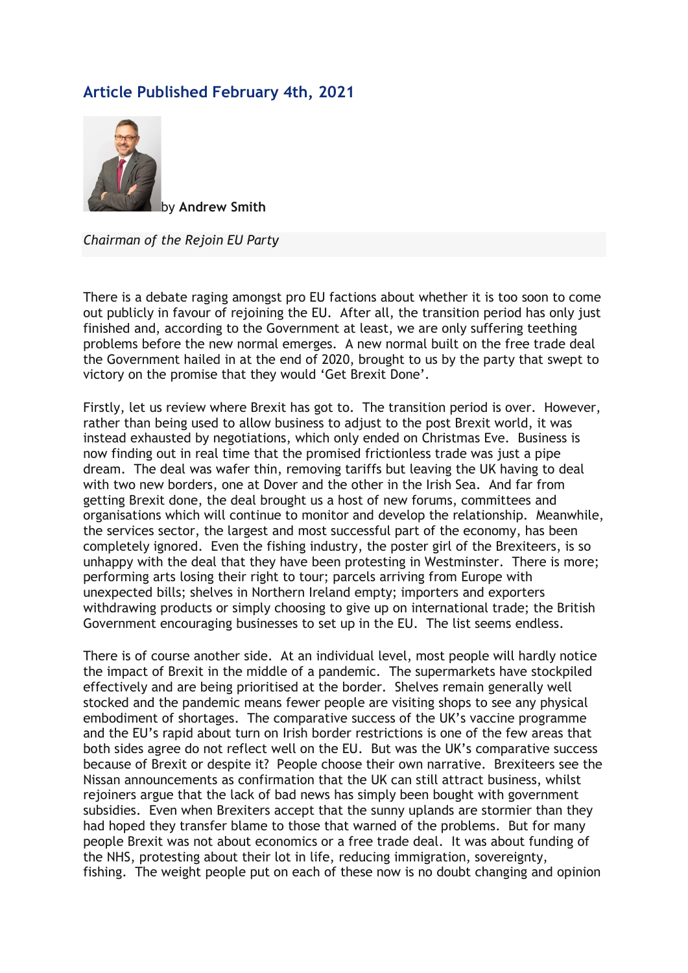## Article Published February 4th, 2021



by Andrew Smith

Chairman of the Rejoin EU Party

There is a debate raging amongst pro EU factions about whether it is too soon to come out publicly in favour of rejoining the EU. After all, the transition period has only just finished and, according to the Government at least, we are only suffering teething problems before the new normal emerges. A new normal built on the free trade deal the Government hailed in at the end of 2020, brought to us by the party that swept to victory on the promise that they would 'Get Brexit Done'.

Firstly, let us review where Brexit has got to. The transition period is over. However, rather than being used to allow business to adjust to the post Brexit world, it was instead exhausted by negotiations, which only ended on Christmas Eve. Business is now finding out in real time that the promised frictionless trade was just a pipe dream. The deal was wafer thin, removing tariffs but leaving the UK having to deal with two new borders, one at Dover and the other in the Irish Sea. And far from getting Brexit done, the deal brought us a host of new forums, committees and organisations which will continue to monitor and develop the relationship. Meanwhile, the services sector, the largest and most successful part of the economy, has been completely ignored. Even the fishing industry, the poster girl of the Brexiteers, is so unhappy with the deal that they have been protesting in Westminster. There is more; performing arts losing their right to tour; parcels arriving from Europe with unexpected bills; shelves in Northern Ireland empty; importers and exporters withdrawing products or simply choosing to give up on international trade; the British Government encouraging businesses to set up in the EU. The list seems endless.

There is of course another side. At an individual level, most people will hardly notice the impact of Brexit in the middle of a pandemic. The supermarkets have stockpiled effectively and are being prioritised at the border. Shelves remain generally well stocked and the pandemic means fewer people are visiting shops to see any physical embodiment of shortages. The comparative success of the UK's vaccine programme and the EU's rapid about turn on Irish border restrictions is one of the few areas that both sides agree do not reflect well on the EU. But was the UK's comparative success because of Brexit or despite it? People choose their own narrative. Brexiteers see the Nissan announcements as confirmation that the UK can still attract business, whilst rejoiners argue that the lack of bad news has simply been bought with government subsidies. Even when Brexiters accept that the sunny uplands are stormier than they had hoped they transfer blame to those that warned of the problems. But for many people Brexit was not about economics or a free trade deal. It was about funding of the NHS, protesting about their lot in life, reducing immigration, sovereignty, fishing. The weight people put on each of these now is no doubt changing and opinion